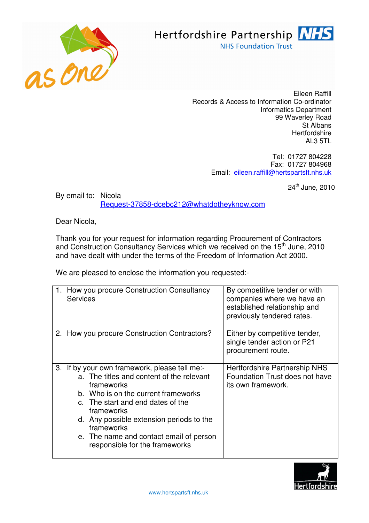



Eileen Raffill Records & Access to Information Co-ordinator Informatics Department 99 Waverley Road St Albans **Hertfordshire** AL3 5TL

> Tel: 01727 804228 Fax: 01727 804968 Email: eileen.raffill@hertspartsft.nhs.uk

> > 24<sup>th</sup> June, 2010

By email to: Nicola Request-37858-dcebc212@whatdotheyknow.com

Dear Nicola,

Thank you for your request for information regarding Procurement of Contractors and Construction Consultancy Services which we received on the 15<sup>th</sup> June, 2010 and have dealt with under the terms of the Freedom of Information Act 2000.

We are pleased to enclose the information you requested:-

| <b>Services</b>                              | How you procure Construction Consultancy                                                                                                                                                                                                                                                     | By competitive tender or with<br>companies where we have an<br>established relationship and<br>previously tendered rates. |
|----------------------------------------------|----------------------------------------------------------------------------------------------------------------------------------------------------------------------------------------------------------------------------------------------------------------------------------------------|---------------------------------------------------------------------------------------------------------------------------|
|                                              | 2. How you procure Construction Contractors?                                                                                                                                                                                                                                                 | Either by competitive tender,<br>single tender action or P21<br>procurement route.                                        |
| 3.<br>frameworks<br>frameworks<br>frameworks | If by your own framework, please tell me:-<br>a. The titles and content of the relevant<br>b. Who is on the current frameworks<br>c. The start and end dates of the<br>d. Any possible extension periods to the<br>e. The name and contact email of person<br>responsible for the frameworks | Hertfordshire Partnership NHS<br>Foundation Trust does not have<br>its own framework.                                     |